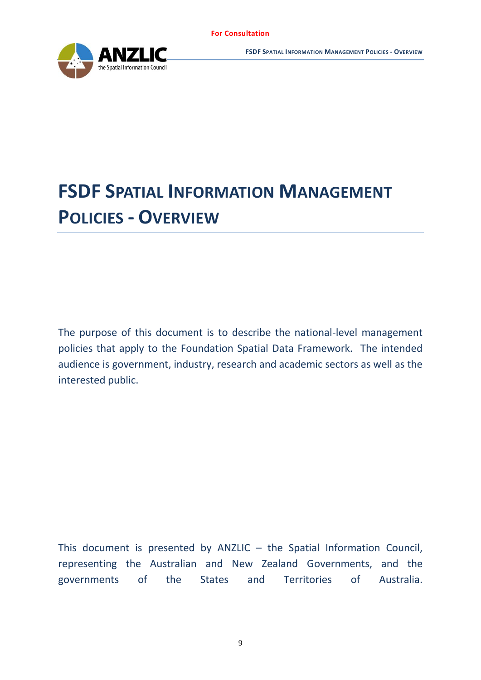

# **FSDF SPATIAL INFORMATION MANAGEMENT POLICIES - OVERVIEW**

The purpose of this document is to describe the national-level management policies that apply to the Foundation Spatial Data Framework. The intended audience is government, industry, research and academic sectors as well as the interested public.

This document is presented by ANZLIC – the Spatial Information Council, representing the Australian and New Zealand Governments, and the governments of the States and Territories of Australia.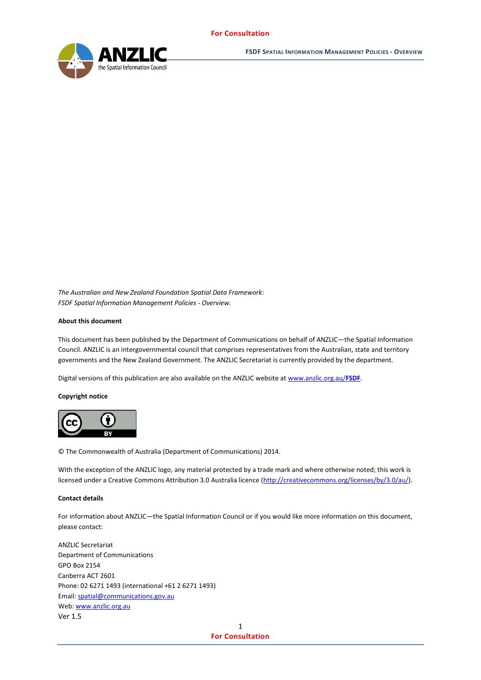

*The Australian and New Zealand Foundation Spatial Data Framework: FSDF Spatial Information Management Policies - Overview.*

#### **About this document**

This document has been published by the Department of Communications on behalf of ANZLIC—the Spatial Information Council. ANZLIC is an intergovernmental council that comprises representatives from the Australian, state and territory governments and the New Zealand Government. The ANZLIC Secretariat is currently provided by the department.

Digital versions of this publication are also available on the ANZLIC website a[t www.anzlic.org.au/](http://www.anzlic.org.au/FSDF)**FSDF**.

#### **Copyright notice**



© The Commonwealth of Australia (Department of Communications) 2014.

With the exception of the ANZLIC logo, any material protected by a trade mark and where otherwise noted; this work is licensed under a Creative Commons Attribution 3.0 Australia licence [\(http://creativecommons.org/licenses/by/3.0/au/\)](http://creativecommons.org/licenses/by/3.0/au/).

#### **Contact details**

For information about ANZLIC—the Spatial Information Council or if you would like more information on this document, please contact:

Ver 1.5 ANZLIC Secretariat Department of Communications GPO Box 2154 Canberra ACT 2601 Phone: 02 6271 1493 (international +61 2 6271 1493) Email[: spatial@communications.gov.au](mailto:spatial@communications.gov.au) Web[: www.anzlic.org.au](http://www.anzlic.org.au/)

> 1 **For Consultation**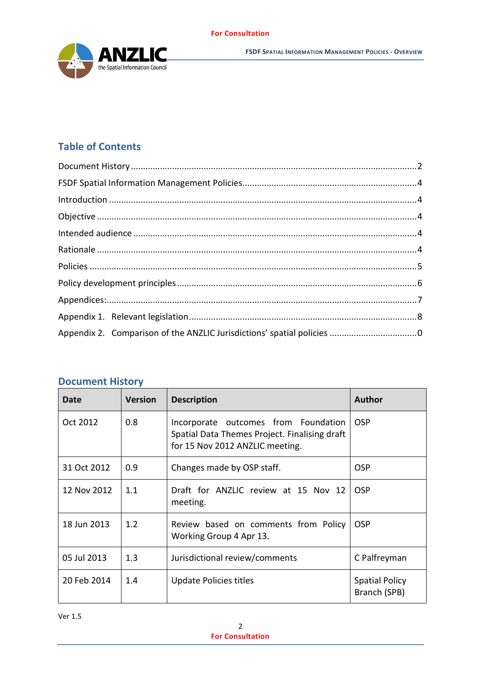

# **Table of Contents**

# <span id="page-2-0"></span>**Document History**

| Date        | <b>Version</b> | <b>Description</b>                                                                                                       | <b>Author</b>                         |  |  |
|-------------|----------------|--------------------------------------------------------------------------------------------------------------------------|---------------------------------------|--|--|
| Oct 2012    | 0.8            | Incorporate outcomes from Foundation<br>Spatial Data Themes Project. Finalising draft<br>for 15 Nov 2012 ANZLIC meeting. | <b>OSP</b>                            |  |  |
| 31 Oct 2012 | 0.9            | Changes made by OSP staff.                                                                                               | <b>OSP</b>                            |  |  |
| 12 Nov 2012 | 1.1            | Draft for ANZLIC review at 15 Nov 12<br>meeting.                                                                         | <b>OSP</b>                            |  |  |
| 18 Jun 2013 | 1.2            | Review based on comments from Policy<br>Working Group 4 Apr 13.                                                          | <b>OSP</b>                            |  |  |
| 05 Jul 2013 | 1.3            | Jurisdictional review/comments                                                                                           | C Palfreyman                          |  |  |
| 20 Feb 2014 | 1.4            | Update Policies titles                                                                                                   | <b>Spatial Policy</b><br>Branch (SPB) |  |  |

Ver 1.5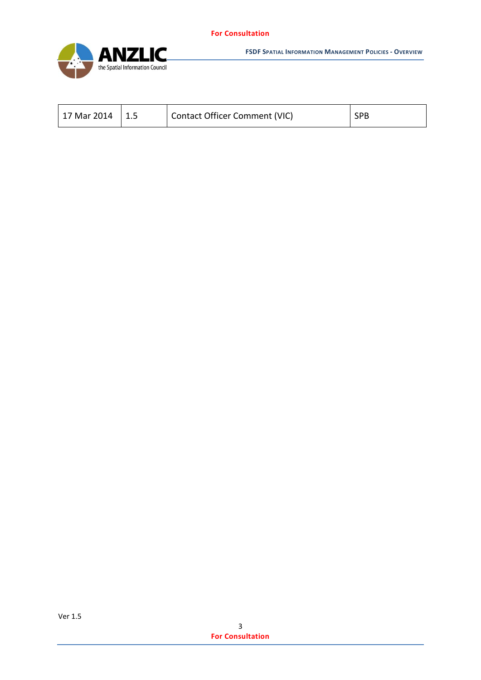

**FSDF SPATIAL INFORMATION MANAGEMENT POLICIES - OVERVIEW**

| 17 Mar 2014 |  | <b>Contact Officer Comment (VIC)</b> | <b>SPB</b> |
|-------------|--|--------------------------------------|------------|
|-------------|--|--------------------------------------|------------|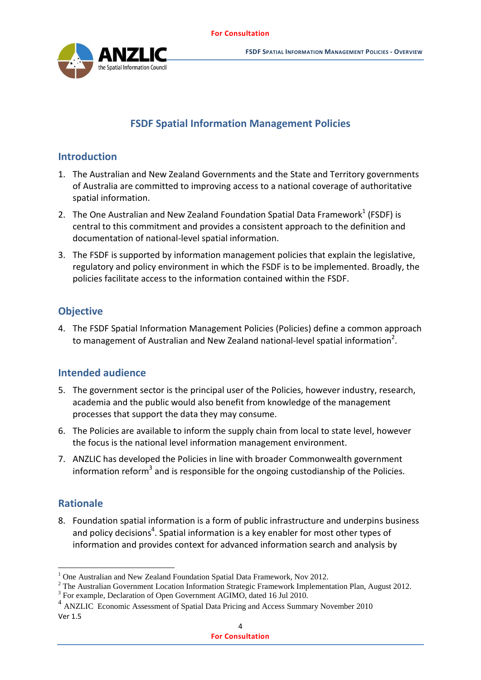

# **FSDF Spatial Information Management Policies**

# <span id="page-4-1"></span><span id="page-4-0"></span>**Introduction**

- 1. The Australian and New Zealand Governments and the State and Territory governments of Australia are committed to improving access to a national coverage of authoritative spatial information.
- 2. The One Australian and New Zealand Foundation Spatial Data Framework $1$  (FSDF) is central to this commitment and provides a consistent approach to the definition and documentation of national-level spatial information.
- 3. The FSDF is supported by information management policies that explain the legislative, regulatory and policy environment in which the FSDF is to be implemented. Broadly, the policies facilitate access to the information contained within the FSDF.

# <span id="page-4-2"></span>**Objective**

4. The FSDF Spatial Information Management Policies (Policies) define a common approach to management of Australian and New Zealand national-level spatial information<sup>2</sup>.

# <span id="page-4-3"></span>**Intended audience**

- 5. The government sector is the principal user of the Policies, however industry, research, academia and the public would also benefit from knowledge of the management processes that support the data they may consume.
- 6. The Policies are available to inform the supply chain from local to state level, however the focus is the national level information management environment.
- 7. ANZLIC has developed the Policies in line with broader Commonwealth government information reform<sup>3</sup> and is responsible for the ongoing custodianship of the Policies.

# <span id="page-4-4"></span>**Rationale**

1

8. Foundation spatial information is a form of public infrastructure and underpins business and policy decisions<sup>4</sup>. Spatial information is a key enabler for most other types of information and provides context for advanced information search and analysis by

<sup>1</sup> One Australian and New Zealand Foundation Spatial Data Framework, Nov 2012.

<sup>&</sup>lt;sup>2</sup> The Australian Government Location Information Strategic Framework Implementation Plan, August 2012.

<sup>&</sup>lt;sup>3</sup> For example, Declaration of Open Government AGIMO, dated 16 Jul 2010.

Ver 1.5 4 ANZLIC Economic Assessment of Spatial Data Pricing and Access Summary November 2010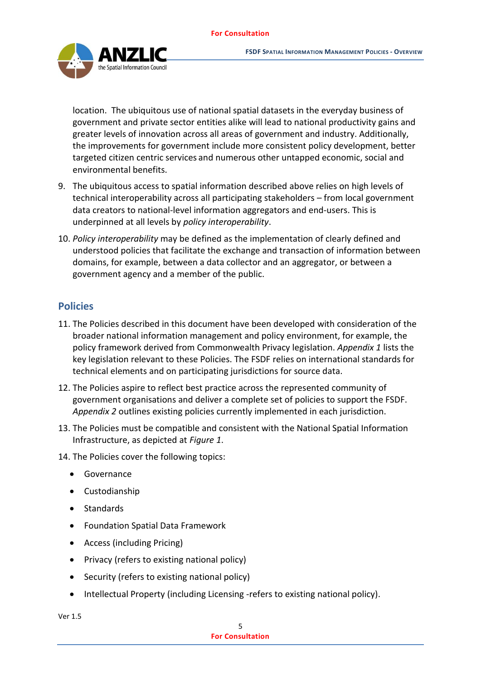

location. The ubiquitous use of national spatial datasets in the everyday business of government and private sector entities alike will lead to national productivity gains and greater levels of innovation across all areas of government and industry. Additionally, the improvements for government include more consistent policy development, better targeted citizen centric services and numerous other untapped economic, social and environmental benefits.

- 9. The ubiquitous access to spatial information described above relies on high levels of technical interoperability across all participating stakeholders – from local government data creators to national-level information aggregators and end-users. This is underpinned at all levels by *policy interoperability*.
- 10. *Policy interoperability* may be defined as the implementation of clearly defined and understood policies that facilitate the exchange and transaction of information between domains, for example, between a data collector and an aggregator, or between a government agency and a member of the public.

# <span id="page-5-0"></span>**Policies**

- 11. The Policies described in this document have been developed with consideration of the broader national information management and policy environment, for example, the policy framework derived from Commonwealth Privacy legislation. *Appendix 1* lists the key legislation relevant to these Policies. The FSDF relies on international standards for technical elements and on participating jurisdictions for source data.
- 12. The Policies aspire to reflect best practice across the represented community of government organisations and deliver a complete set of policies to support the FSDF. *Appendix 2* outlines existing policies currently implemented in each jurisdiction.
- 13. The Policies must be compatible and consistent with the National Spatial Information Infrastructure, as depicted at *Figure 1*.

14. The Policies cover the following topics:

- Governance
- Custodianship
- Standards
- Foundation Spatial Data Framework
- Access (including Pricing)
- Privacy (refers to existing national policy)
- Security (refers to existing national policy)
- Intellectual Property (including Licensing -refers to existing national policy).

Ver 1.5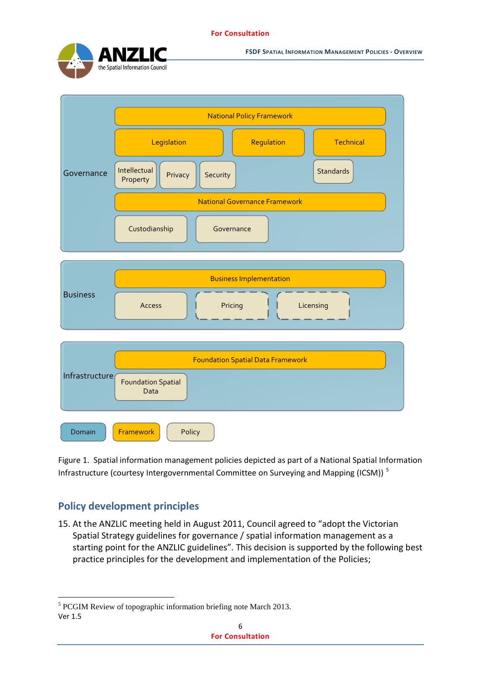

**FSDF SPATIAL INFORMATION MANAGEMENT POLICIES - OVERVIEW**



Figure 1. Spatial information management policies depicted as part of a National Spatial Information Infrastructure (courtesy Intergovernmental Committee on Surveying and Mapping (ICSM))<sup>5</sup>

# <span id="page-6-0"></span>**Policy development principles**

<u>.</u>

15. At the ANZLIC meeting held in August 2011, Council agreed to "adopt the Victorian Spatial Strategy guidelines for governance / spatial information management as a starting point for the ANZLIC guidelines". This decision is supported by the following best practice principles for the development and implementation of the Policies;

Ver 1.5 <sup>5</sup> PCGIM Review of topographic information briefing note March 2013.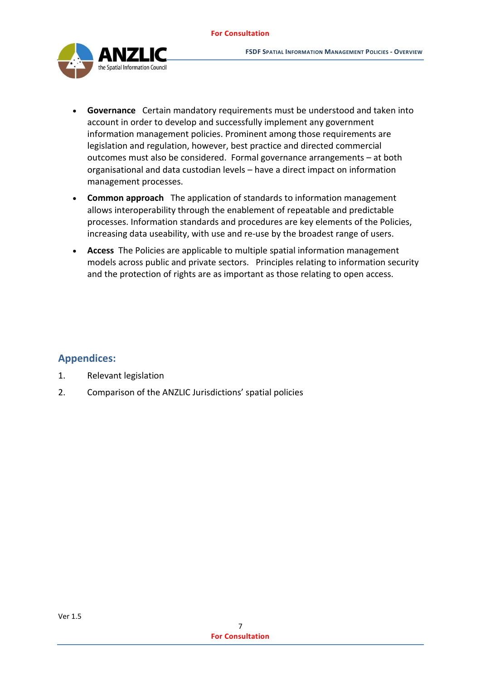

- **Governance** Certain mandatory requirements must be understood and taken into account in order to develop and successfully implement any government information management policies. Prominent among those requirements are legislation and regulation, however, best practice and directed commercial outcomes must also be considered. Formal governance arrangements – at both organisational and data custodian levels – have a direct impact on information management processes.
- **Common approach** The application of standards to information management allows interoperability through the enablement of repeatable and predictable processes. Information standards and procedures are key elements of the Policies, increasing data useability, with use and re-use by the broadest range of users.
- **Access** The Policies are applicable to multiple spatial information management models across public and private sectors. Principles relating to information security and the protection of rights are as important as those relating to open access.

## <span id="page-7-0"></span>**Appendices:**

- 1. Relevant legislation
- 2. Comparison of the ANZLIC Jurisdictions' spatial policies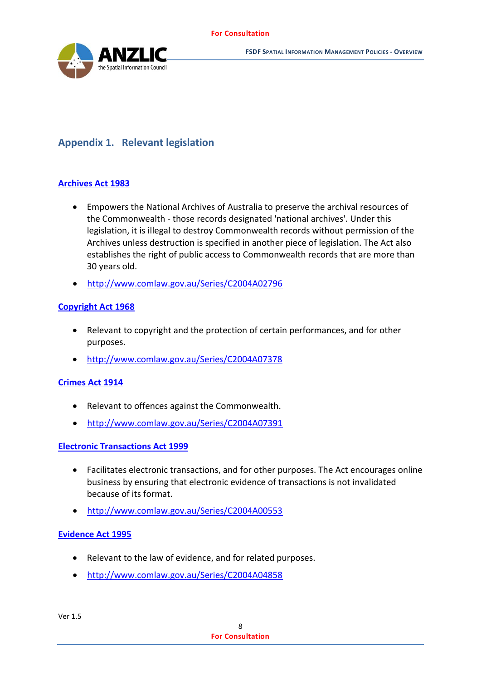

# <span id="page-8-0"></span>**Appendix 1. Relevant legislation**

### **[Archives Act 1983](http://www.comlaw.gov.au/Series/C2004A02796)**

- Empowers the National Archives of Australia to preserve the archival resources of the Commonwealth - those records designated 'national archives'. Under this legislation, it is illegal to destroy Commonwealth records without permission of the Archives unless destruction is specified in another piece of legislation. The Act also establishes the right of public access to Commonwealth records that are more than 30 years old.
- <http://www.comlaw.gov.au/Series/C2004A02796>

### **[Copyright Act 1968](http://www.comlaw.gov.au/Series/C2004A07378)**

- Relevant to copyright and the protection of certain performances, and for other purposes.
- <http://www.comlaw.gov.au/Series/C2004A07378>

### **[Crimes Act 1914](http://www.comlaw.gov.au/Series/C2004A07391)**

- Relevant to offences against the Commonwealth.
- <http://www.comlaw.gov.au/Series/C2004A07391>

### **[Electronic Transactions Act 1999](http://www.comlaw.gov.au/Series/C2004A00553)**

- Facilitates electronic transactions, and for other purposes. The Act encourages online business by ensuring that electronic evidence of transactions is not invalidated because of its format.
- <http://www.comlaw.gov.au/Series/C2004A00553>

### **[Evidence Act 1995](http://www.comlaw.gov.au/Series/C2004A04858)**

- Relevant to the law of evidence, and for related purposes.
- <http://www.comlaw.gov.au/Series/C2004A04858>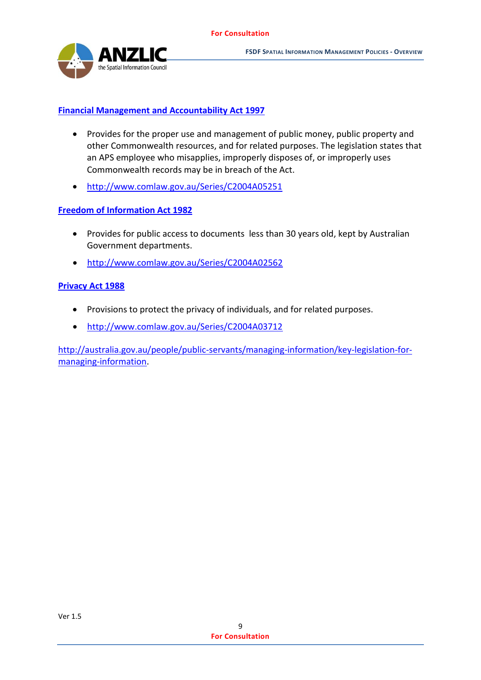

#### **[Financial Management and Accountability Act 1997](http://www.comlaw.gov.au/Series/C2004A05251)**

- Provides for the proper use and management of public money, public property and other Commonwealth resources, and for related purposes. The legislation states that an APS employee who misapplies, improperly disposes of, or improperly uses Commonwealth records may be in breach of the Act.
- <http://www.comlaw.gov.au/Series/C2004A05251>

#### **[Freedom of Information Act 1982](http://www.comlaw.gov.au/Series/C2004A02562)**

- Provides for public access to documents less than 30 years old, kept by Australian Government departments.
- <http://www.comlaw.gov.au/Series/C2004A02562>

#### **[Privacy Act 1988](http://www.comlaw.gov.au/Series/C2004A03712)**

- Provisions to protect the privacy of individuals, and for related purposes.
- <http://www.comlaw.gov.au/Series/C2004A03712>

[http://australia.gov.au/people/public-servants/managing-information/key-legislation-for](http://australia.gov.au/people/public-servants/managing-information/key-legislation-for-managing-information)[managing-information.](http://australia.gov.au/people/public-servants/managing-information/key-legislation-for-managing-information)